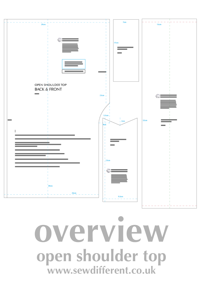

**overview open shoulder top www.sewdifferent.co.uk**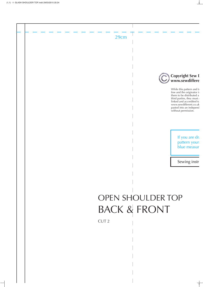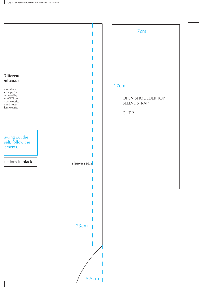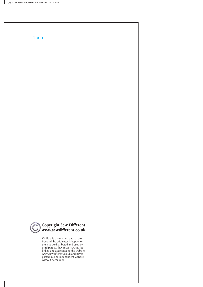

While this pattern and tutorial are free and the originator is happy for them to be distributed and used by third parties, they must ALWAYS be linked and accredited to the website www.sewdifferent.co<mark>.</mark>uk and never pasted into an independent website without permission.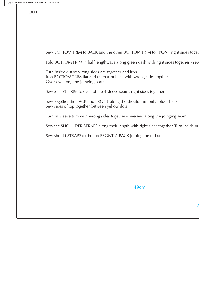## FOLD

Sew BOTTOM TRIM to BACK and the other BOTTOM TRIM to FRONT right sides toget

Fold BOTTOM TRIM in half lengthways along green dash with right sides together - sew

Turn inside out so wrong sides are together and iron Iron BOTTOM TRIM flat and them turn back with wrong sides togther Oversew along the joinging seam

Sew SLEEVE TRIM to each of the 4 sleeve seams right sides together

Sew together the BACK and FRONT along the should trim only (blue dash) Sew sides of top together between yellow dots

Turn in Sleeve trim with wrong sides together - oversew along the joinging seam

Sew the SHOULDER STRAPS along their length with right sides together. Turn inside ou

Sew should STRAPS to the top FRONT & BACK joining the red dots

49cm 2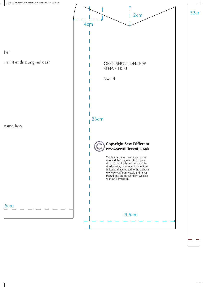her

w all 4 ends along red dash

ut and iron.

6cm



9.5cm